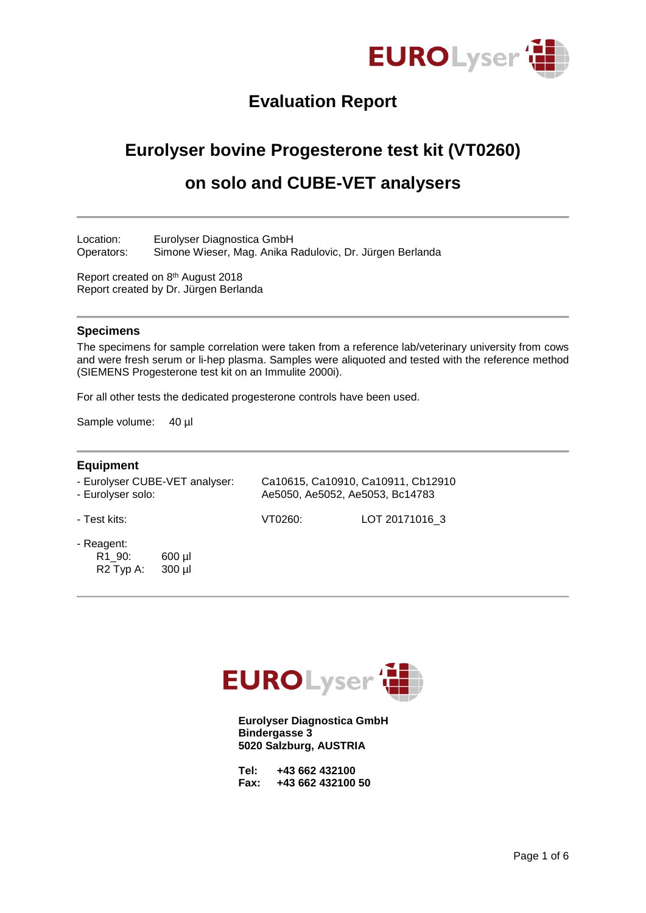

# **Evaluation Report**

# **Eurolyser bovine Progesterone test kit (VT0260)**

## **on solo and CUBE-VET analysers**

Location: Eurolyser Diagnostica GmbH Operators: Simone Wieser, Mag. Anika Radulovic, Dr. Jürgen Berlanda

Report created on 8<sup>th</sup> August 2018 Report created by Dr. Jürgen Berlanda

#### **Specimens**

The specimens for sample correlation were taken from a reference lab/veterinary university from cows and were fresh serum or li-hep plasma. Samples were aliquoted and tested with the reference method (SIEMENS Progesterone test kit on an Immulite 2000i).

For all other tests the dedicated progesterone controls have been used.

Sample volume: 40 µl

#### **Equipment**

| - Eurolyser CUBE-VET analyser: | Ca10615, Ca10910, Ca10911, Cb12910 |
|--------------------------------|------------------------------------|
| - Eurolyser solo:              | Ae5050, Ae5052, Ae5053, Bc14783    |
|                                |                                    |

- Test kits: VT0260: LOT 20171016\_3

- Reagent:
	- R1\_90: 600 µl R2 Typ A: 300 µl



**Eurolyser Diagnostica GmbH Bindergasse 3 5020 Salzburg, AUSTRIA**

| Tel: |  | +43 662 432100    |  |
|------|--|-------------------|--|
| Fax: |  | +43 662 432100 50 |  |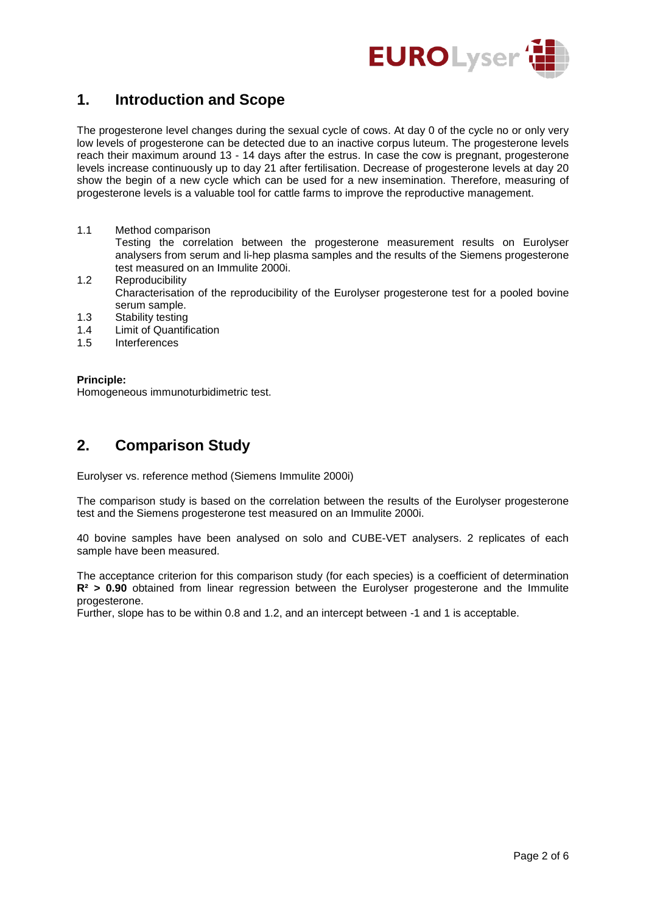

### **1. Introduction and Scope**

The progesterone level changes during the sexual cycle of cows. At day 0 of the cycle no or only very low levels of progesterone can be detected due to an inactive corpus luteum. The progesterone levels reach their maximum around 13 - 14 days after the estrus. In case the cow is pregnant, progesterone levels increase continuously up to day 21 after fertilisation. Decrease of progesterone levels at day 20 show the begin of a new cycle which can be used for a new insemination. Therefore, measuring of progesterone levels is a valuable tool for cattle farms to improve the reproductive management.

- 1.1 Method comparison Testing the correlation between the progesterone measurement results on Eurolyser analysers from serum and li-hep plasma samples and the results of the Siemens progesterone test measured on an Immulite 2000i.
- 1.2 Reproducibility Characterisation of the reproducibility of the Eurolyser progesterone test for a pooled bovine serum sample.
- 1.3 Stability testing
- 1.4 Limit of Quantification
- 1.5 Interferences

#### **Principle:**

Homogeneous immunoturbidimetric test.

### **2. Comparison Study**

Eurolyser vs. reference method (Siemens Immulite 2000i)

The comparison study is based on the correlation between the results of the Eurolyser progesterone test and the Siemens progesterone test measured on an Immulite 2000i.

40 bovine samples have been analysed on solo and CUBE-VET analysers. 2 replicates of each sample have been measured.

The acceptance criterion for this comparison study (for each species) is a coefficient of determination **R² > 0.90** obtained from linear regression between the Eurolyser progesterone and the Immulite progesterone.

Further, slope has to be within 0.8 and 1.2, and an intercept between -1 and 1 is acceptable.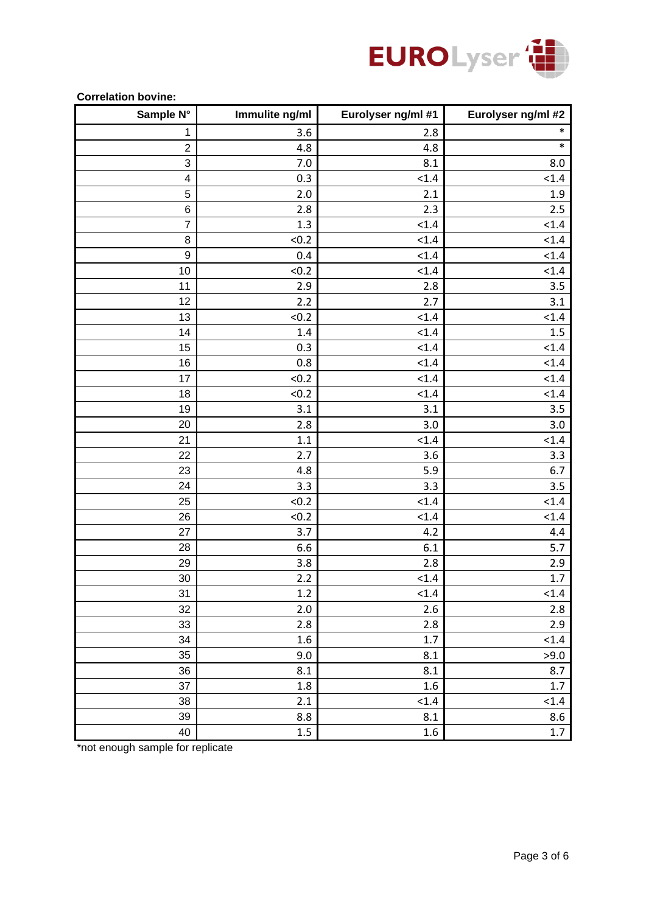

| OONTOMMON NOTHU.<br>Sample N° | Immulite ng/ml | Eurolyser ng/ml #1 | Eurolyser ng/ml #2 |
|-------------------------------|----------------|--------------------|--------------------|
| 1                             | 3.6            | 2.8                | $\ast$             |
| $\overline{c}$                | 4.8            | 4.8                | $\ast$             |
| 3                             | 7.0            | 8.1                | 8.0                |
| $\overline{\mathcal{A}}$      | 0.3            | < 1.4              | < 1.4              |
| 5                             | 2.0            | 2.1                | 1.9                |
| $\,$ 6 $\,$                   | 2.8            | 2.3                | 2.5                |
| $\overline{7}$                | 1.3            | < 1.4              | < 1.4              |
| 8                             | < 0.2          | < 1.4              | < 1.4              |
| 9                             | 0.4            | < 1.4              | < 1.4              |
| 10                            | < 0.2          | < 1.4              | < 1.4              |
| 11                            | 2.9            | 2.8                | 3.5                |
| 12                            | 2.2            | 2.7                | 3.1                |
| 13                            | < 0.2          | < 1.4              | < 1.4              |
| 14                            | 1.4            | < 1.4              | 1.5                |
| 15                            | 0.3            | < 1.4              | < 1.4              |
| 16                            | 0.8            | < 1.4              | < 1.4              |
| 17                            | < 0.2          | < 1.4              | < 1.4              |
| 18                            | < 0.2          | < 1.4              | < 1.4              |
| 19                            | 3.1            | 3.1                | 3.5                |
| 20                            | 2.8            | 3.0                | 3.0                |
| 21                            | 1.1            | < 1.4              | < 1.4              |
| 22                            | 2.7            | 3.6                | 3.3                |
| 23                            | 4.8            | 5.9                | 6.7                |
| 24                            | 3.3            | 3.3                | 3.5                |
| 25                            | < 0.2          | < 1.4              | < 1.4              |
| 26                            | < 0.2          | < 1.4              | < 1.4              |
| 27                            | 3.7            | 4.2                | 4.4                |
| 28                            | 6.6            | 6.1                | 5.7                |
| 29                            | 3.8            | 2.8                | 2.9                |
| 30                            | 2.2            | < 1.4              | 1.7                |
| 31                            | 1.2            | < 1.4              | < 1.4              |
| 32                            | 2.0            | 2.6                | 2.8                |
| 33                            | 2.8            | 2.8                | 2.9                |
| 34                            | 1.6            | $1.7\,$            | < 1.4              |
| 35                            | 9.0            | 8.1                | >9.0               |
| 36                            | 8.1            | 8.1                | 8.7                |
| 37                            | $1.8\,$        | $1.6\,$            | $1.7\,$            |
| 38                            | 2.1            | < 1.4              | < 1.4              |
| 39                            | 8.8            | 8.1                | 8.6                |
| 40                            | $1.5\,$        | 1.6                | $1.7\,$            |

#### **Correlation bovine:**

\*not enough sample for replicate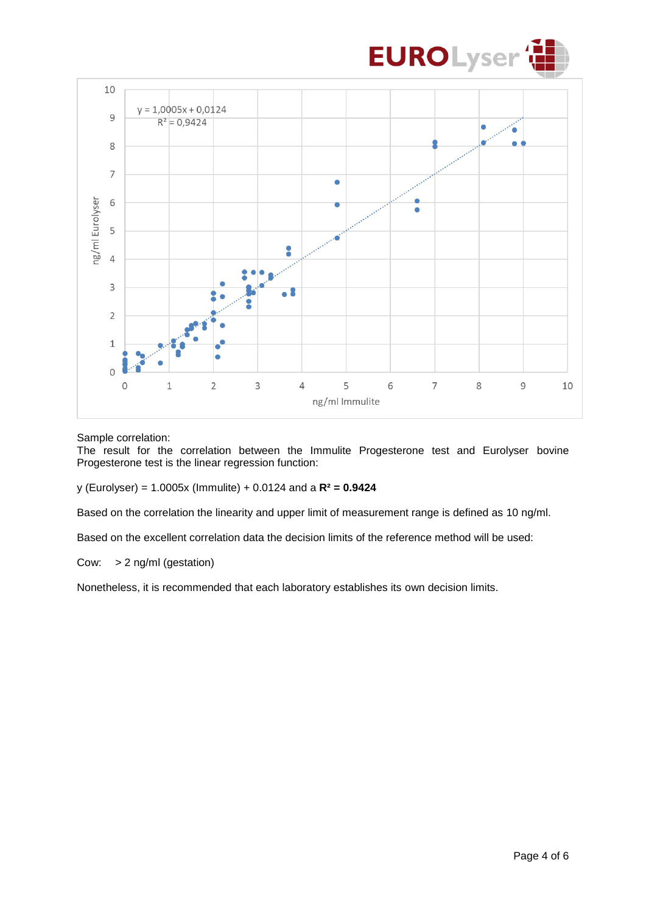



#### Sample correlation:

The result for the correlation between the Immulite Progesterone test and Eurolyser bovine Progesterone test is the linear regression function:

y (Eurolyser) = 1.0005x (Immulite) + 0.0124 and a **R² = 0.9424**

Based on the correlation the linearity and upper limit of measurement range is defined as 10 ng/ml.

Based on the excellent correlation data the decision limits of the reference method will be used:

#### Cow: > 2 ng/ml (gestation)

Nonetheless, it is recommended that each laboratory establishes its own decision limits.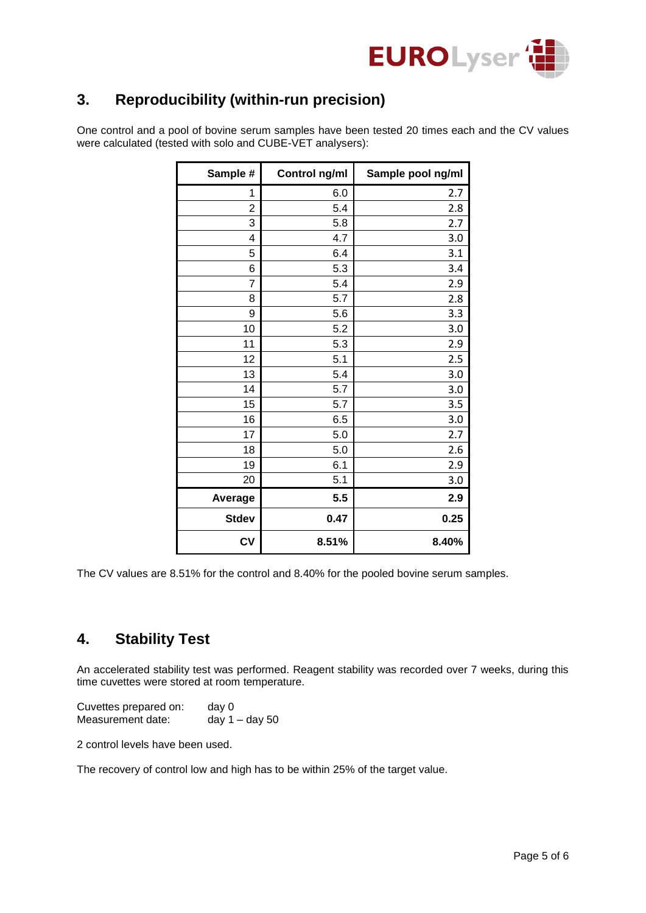

# **3. Reproducibility (within-run precision)**

One control and a pool of bovine serum samples have been tested 20 times each and the CV values were calculated (tested with solo and CUBE-VET analysers):

| Sample #       | Control ng/ml | Sample pool ng/ml |
|----------------|---------------|-------------------|
| 1              | 6.0           | 2.7               |
| $\overline{2}$ | 5.4           | 2.8               |
| 3              | 5.8           | 2.7               |
| 4              | 4.7           | 3.0               |
| 5              | 6.4           | 3.1               |
| 6              | 5.3           | 3.4               |
| $\overline{7}$ | 5.4           | 2.9               |
| 8              | 5.7           | 2.8               |
| 9              | 5.6           | 3.3               |
| 10             | 5.2           | 3.0               |
| 11             | 5.3           | 2.9               |
| 12             | 5.1           | 2.5               |
| 13             | 5.4           | 3.0               |
| 14             | 5.7           | 3.0               |
| 15             | 5.7           | 3.5               |
| 16             | 6.5           | 3.0               |
| 17             | 5.0           | 2.7               |
| 18             | 5.0           | 2.6               |
| 19             | 6.1           | 2.9               |
| 20             | 5.1           | 3.0               |
| Average        | 5.5           | 2.9               |
| <b>Stdev</b>   | 0.47          | 0.25              |
| CV             | 8.51%         | 8.40%             |

The CV values are 8.51% for the control and 8.40% for the pooled bovine serum samples.

### **4. Stability Test**

An accelerated stability test was performed. Reagent stability was recorded over 7 weeks, during this time cuvettes were stored at room temperature.

Cuvettes prepared on: day 0 Measurement date: day 1 – day 50

2 control levels have been used.

The recovery of control low and high has to be within 25% of the target value.